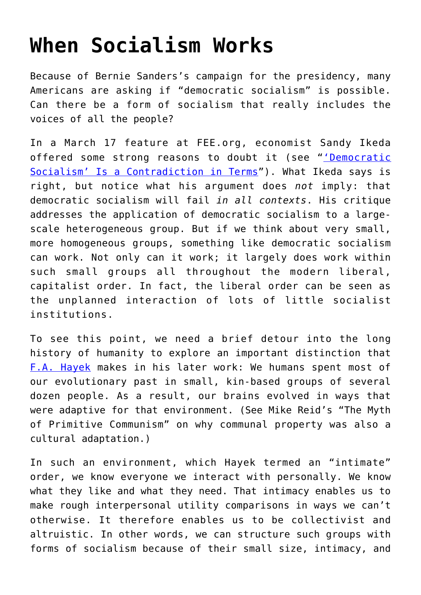## **[When Socialism Works](https://intellectualtakeout.org/2016/03/when-socialism-works/)**

Because of Bernie Sanders's campaign for the presidency, many Americans are asking if "democratic socialism" is possible. Can there be a form of socialism that really includes the voices of all the people?

In a March 17 feature at FEE.org, economist Sandy Ikeda offered some strong reasons to doubt it (see "['Democratic](http://fee.org/articles/democratic-socialism-is-a-contradiction-in-terms/) [Socialism' Is a Contradiction in Terms](http://fee.org/articles/democratic-socialism-is-a-contradiction-in-terms/)"). What Ikeda says is right, but notice what his argument does *not* imply: that democratic socialism will fail *in all contexts*. His critique addresses the application of democratic socialism to a largescale heterogeneous group. But if we think about very small, more homogeneous groups, something like democratic socialism can work. Not only can it work; it largely does work within such small groups all throughout the modern liberal, capitalist order. In fact, the liberal order can be seen as the unplanned interaction of lots of little socialist institutions.

To see this point, we need a brief detour into the long history of humanity to explore an important distinction that [F.A. Hayek](http://fee.org/people/f-a-hayek) makes in his later work: We humans spent most of our evolutionary past in small, kin-based groups of several dozen people. As a result, our brains evolved in ways that were adaptive for that environment. (See Mike Reid's "The Myth of Primitive Communism" on why communal property was also a cultural adaptation.)

In such an environment, which Hayek termed an "intimate" order, we know everyone we interact with personally. We know what they like and what they need. That intimacy enables us to make rough interpersonal utility comparisons in ways we can't otherwise. It therefore enables us to be collectivist and altruistic. In other words, we can structure such groups with forms of socialism because of their small size, intimacy, and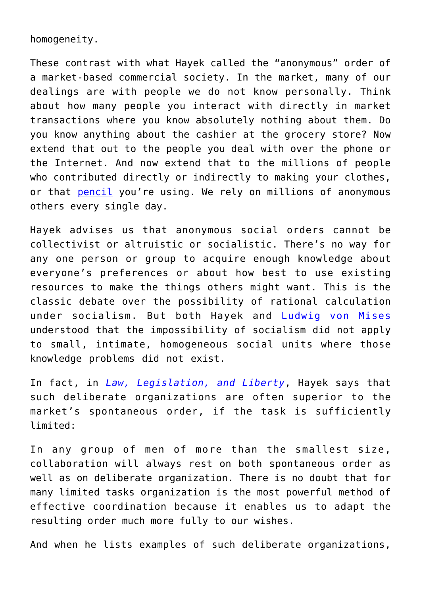homogeneity.

These contrast with what Hayek called the "anonymous" order of a market-based commercial society. In the market, many of our dealings are with people we do not know personally. Think about how many people you interact with directly in market transactions where you know absolutely nothing about them. Do you know anything about the cashier at the grocery store? Now extend that out to the people you deal with over the phone or the Internet. And now extend that to the millions of people who contributed directly or indirectly to making your clothes, or that [pencil](http://fee.org/articles/democratic-socialism-is-a-contradiction-in-terms/) you're using. We rely on millions of anonymous others every single day.

Hayek advises us that anonymous social orders cannot be collectivist or altruistic or socialistic. There's no way for any one person or group to acquire enough knowledge about everyone's preferences or about how best to use existing resources to make the things others might want. This is the classic debate over the possibility of rational calculation under socialism. But both Hayek and [Ludwig von Mises](http://fee.org/people/ludwig-von-mises/) understood that the impossibility of socialism did not apply to small, intimate, homogeneous social units where those knowledge problems did not exist.

In fact, in *[Law, Legislation, and Liberty](http://smile.amazon.com/Law-Legislation-Liberty-statement-principles-ebook/dp/B009C6O91E?tag=foundationforeco)*, Hayek says that such deliberate organizations are often superior to the market's spontaneous order, if the task is sufficiently limited:

In any group of men of more than the smallest size, collaboration will always rest on both spontaneous order as well as on deliberate organization. There is no doubt that for many limited tasks organization is the most powerful method of effective coordination because it enables us to adapt the resulting order much more fully to our wishes.

And when he lists examples of such deliberate organizations,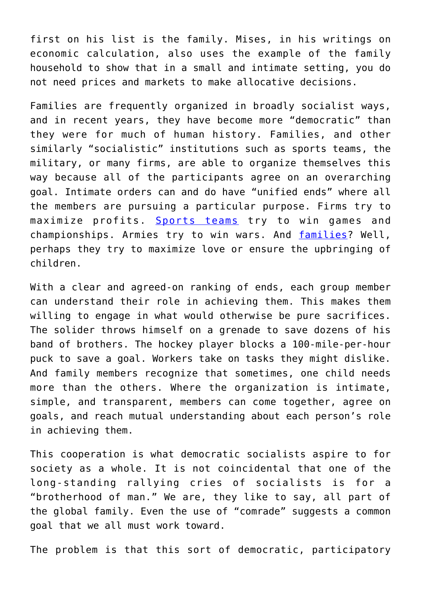first on his list is the family. Mises, in his writings on economic calculation, also uses the example of the family household to show that in a small and intimate setting, you do not need prices and markets to make allocative decisions.

Families are frequently organized in broadly socialist ways, and in recent years, they have become more "democratic" than they were for much of human history. Families, and other similarly "socialistic" institutions such as sports teams, the military, or many firms, are able to organize themselves this way because all of the participants agree on an overarching goal. Intimate orders can and do have "unified ends" where all the members are pursuing a particular purpose. Firms try to maximize profits. [Sports teams](http://fee.org/articles/hiding-the-high-price-of-college-sports/) try to win games and championships. Armies try to win wars. And [families?](http://fee.org/articles/the-nirvana-fallacy-social-science-and-the-nuclear-family/) Well, perhaps they try to maximize love or ensure the upbringing of children.

With a clear and agreed-on ranking of ends, each group member can understand their role in achieving them. This makes them willing to engage in what would otherwise be pure sacrifices. The solider throws himself on a grenade to save dozens of his band of brothers. The hockey player blocks a 100-mile-per-hour puck to save a goal. Workers take on tasks they might dislike. And family members recognize that sometimes, one child needs more than the others. Where the organization is intimate, simple, and transparent, members can come together, agree on goals, and reach mutual understanding about each person's role in achieving them.

This cooperation is what democratic socialists aspire to for society as a whole. It is not coincidental that one of the long-standing rallying cries of socialists is for a "brotherhood of man." We are, they like to say, all part of the global family. Even the use of "comrade" suggests a common goal that we all must work toward.

The problem is that this sort of democratic, participatory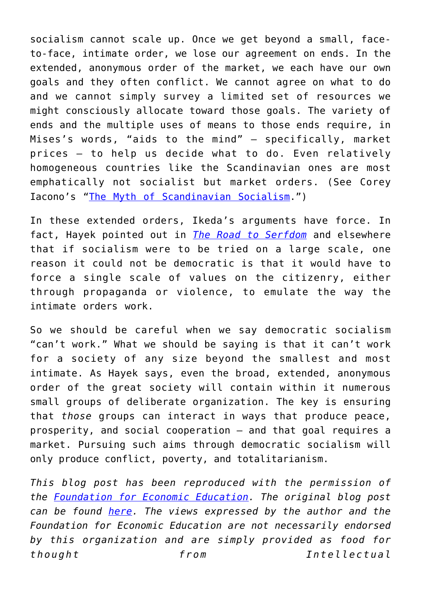socialism cannot scale up. Once we get beyond a small, faceto-face, intimate order, we lose our agreement on ends. In the extended, anonymous order of the market, we each have our own goals and they often conflict. We cannot agree on what to do and we cannot simply survey a limited set of resources we might consciously allocate toward those goals. The variety of ends and the multiple uses of means to those ends require, in Mises's words, "aids to the mind" — specifically, market prices — to help us decide what to do. Even relatively homogeneous countries like the Scandinavian ones are most emphatically not socialist but market orders. (See Corey Iacono's "[The Myth of Scandinavian Socialism](http://fee.org/articles/the-myth-of-scandinavian-socialism/).")

In these extended orders, Ikeda's arguments have force. In fact, Hayek pointed out in *[The Road to Serfdom](http://smile.amazon.com/Road-Serfdom-Documents---Definitive-Collected-ebook/dp/B0048EJXCK?tag=foundationforeco)* and elsewhere that if socialism were to be tried on a large scale, one reason it could not be democratic is that it would have to force a single scale of values on the citizenry, either through propaganda or violence, to emulate the way the intimate orders work.

So we should be careful when we say democratic socialism "can't work." What we should be saying is that it can't work for a society of any size beyond the smallest and most intimate. As Hayek says, even the broad, extended, anonymous order of the great society will contain within it numerous small groups of deliberate organization. The key is ensuring that *those* groups can interact in ways that produce peace, prosperity, and social cooperation — and that goal requires a market. Pursuing such aims through democratic socialism will only produce conflict, poverty, and totalitarianism.

*This blog post has been reproduced with the permission of the [Foundation for Economic Education.](http://www.fee.org/#axzz2OsGvFN38) The original blog post can be found [here](http://fee.org/articles/when-socialism-works/). The views expressed by the author and the Foundation for Economic Education are not necessarily endorsed by this organization and are simply provided as food for thought from Intellectual*